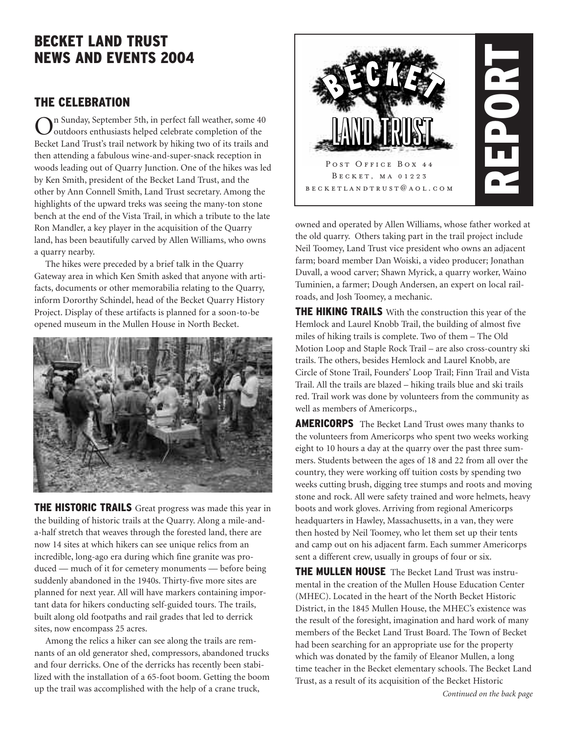# **BECKET LAND TRUST NEWS AND EVENTS 2004**

## **THE CELEBRATION**

On Sunday, September 5th, in perfect fall weather, some 40<br>
outdoors enthusiasts helped celebrate completion of the Becket Land Trust's trail network by hiking two of its trails and then attending a fabulous wine-and-super-snack reception in woods leading out of Quarry Junction. One of the hikes was led by Ken Smith, president of the Becket Land Trust, and the other by Ann Connell Smith, Land Trust secretary. Among the highlights of the upward treks was seeing the many-ton stone bench at the end of the Vista Trail, in which a tribute to the late Ron Mandler, a key player in the acquisition of the Quarry land, has been beautifully carved by Allen Williams, who owns a quarry nearby.

The hikes were preceded by a brief talk in the Quarry Gateway area in which Ken Smith asked that anyone with artifacts, documents or other memorabilia relating to the Quarry, inform Dororthy Schindel, head of the Becket Quarry History Project. Display of these artifacts is planned for a soon-to-be opened museum in the Mullen House in North Becket.



**THE HISTORIC TRAILS** Great progress was made this year in the building of historic trails at the Quarry. Along a mile-anda-half stretch that weaves through the forested land, there are now 14 sites at which hikers can see unique relics from an incredible, long-ago era during which fine granite was produced — much of it for cemetery monuments — before being suddenly abandoned in the 1940s. Thirty-five more sites are planned for next year. All will have markers containing important data for hikers conducting self-guided tours. The trails, built along old footpaths and rail grades that led to derrick sites, now encompass 25 acres.

Among the relics a hiker can see along the trails are remnants of an old generator shed, compressors, abandoned trucks and four derricks. One of the derricks has recently been stabilized with the installation of a 65-foot boom. Getting the boom up the trail was accomplished with the help of a crane truck,



owned and operated by Allen Williams, whose father worked at the old quarry. Others taking part in the trail project include Neil Toomey, Land Trust vice president who owns an adjacent farm; board member Dan Woiski, a video producer; Jonathan Duvall, a wood carver; Shawn Myrick, a quarry worker, Waino Tuminien, a farmer; Dough Andersen, an expert on local railroads, and Josh Toomey, a mechanic.

**THE HIKING TRAILS** With the construction this year of the Hemlock and Laurel Knobb Trail, the building of almost five miles of hiking trails is complete. Two of them – The Old Motion Loop and Staple Rock Trail – are also cross-country ski trails. The others, besides Hemlock and Laurel Knobb, are Circle of Stone Trail, Founders' Loop Trail; Finn Trail and Vista Trail. All the trails are blazed – hiking trails blue and ski trails red. Trail work was done by volunteers from the community as well as members of Americorps.,

**AMERICORPS** The Becket Land Trust owes many thanks to the volunteers from Americorps who spent two weeks working eight to 10 hours a day at the quarry over the past three summers. Students between the ages of 18 and 22 from all over the country, they were working off tuition costs by spending two weeks cutting brush, digging tree stumps and roots and moving stone and rock. All were safety trained and wore helmets, heavy boots and work gloves. Arriving from regional Americorps headquarters in Hawley, Massachusetts, in a van, they were then hosted by Neil Toomey, who let them set up their tents and camp out on his adjacent farm. Each summer Americorps sent a different crew, usually in groups of four or six.

**THE MULLEN HOUSE** The Becket Land Trust was instrumental in the creation of the Mullen House Education Center (MHEC). Located in the heart of the North Becket Historic District, in the 1845 Mullen House, the MHEC's existence was the result of the foresight, imagination and hard work of many members of the Becket Land Trust Board. The Town of Becket had been searching for an appropriate use for the property which was donated by the family of Eleanor Mullen, a long time teacher in the Becket elementary schools. The Becket Land Trust, as a result of its acquisition of the Becket Historic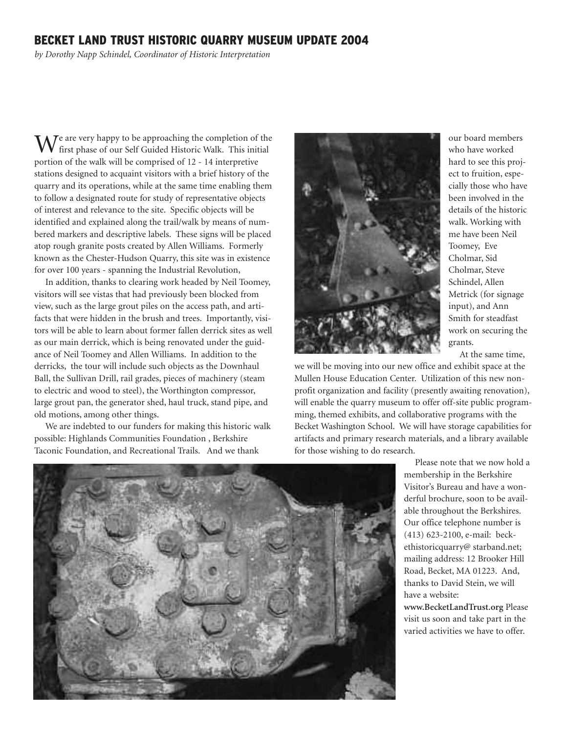### **BECKET LAND TRUST HISTORIC QUARRY MUSEUM UPDATE 2004**

*by Dorothy Napp Schindel, Coordinator of Historic Interpretation*

We are very happy to be approaching the completion of the first phase of our Self Guided Historic Walk. This initial portion of the walk will be comprised of 12 - 14 interpretive stations designed to acquaint visitors with a brief history of the quarry and its operations, while at the same time enabling them to follow a designated route for study of representative objects of interest and relevance to the site. Specific objects will be identified and explained along the trail/walk by means of numbered markers and descriptive labels. These signs will be placed atop rough granite posts created by Allen Williams. Formerly known as the Chester-Hudson Quarry, this site was in existence for over 100 years - spanning the Industrial Revolution,

In addition, thanks to clearing work headed by Neil Toomey, visitors will see vistas that had previously been blocked from view, such as the large grout piles on the access path, and artifacts that were hidden in the brush and trees. Importantly, visitors will be able to learn about former fallen derrick sites as well as our main derrick, which is being renovated under the guidance of Neil Toomey and Allen Williams. In addition to the derricks, the tour will include such objects as the Downhaul Ball, the Sullivan Drill, rail grades, pieces of machinery (steam to electric and wood to steel), the Worthington compressor, large grout pan, the generator shed, haul truck, stand pipe, and old motions, among other things.

We are indebted to our funders for making this historic walk possible: Highlands Communities Foundation , Berkshire Taconic Foundation, and Recreational Trails. And we thank



our board members who have worked hard to see this project to fruition, especially those who have been involved in the details of the historic walk. Working with me have been Neil Toomey, Eve Cholmar, Sid Cholmar, Steve Schindel, Allen Metrick (for signage input), and Ann Smith for steadfast work on securing the grants.

At the same time,

we will be moving into our new office and exhibit space at the Mullen House Education Center. Utilization of this new nonprofit organization and facility (presently awaiting renovation), will enable the quarry museum to offer off-site public programming, themed exhibits, and collaborative programs with the Becket Washington School. We will have storage capabilities for artifacts and primary research materials, and a library available for those wishing to do research.

> Please note that we now hold a membership in the Berkshire Visitor's Bureau and have a wonderful brochure, soon to be available throughout the Berkshires. Our office telephone number is (413) 623-2100, e-mail: beckethistoricquarry@ starband.net; mailing address: 12 Brooker Hill Road, Becket, MA 01223. And, thanks to David Stein, we will have a website:

**www.BecketLandTrust.org** Please visit us soon and take part in the varied activities we have to offer.

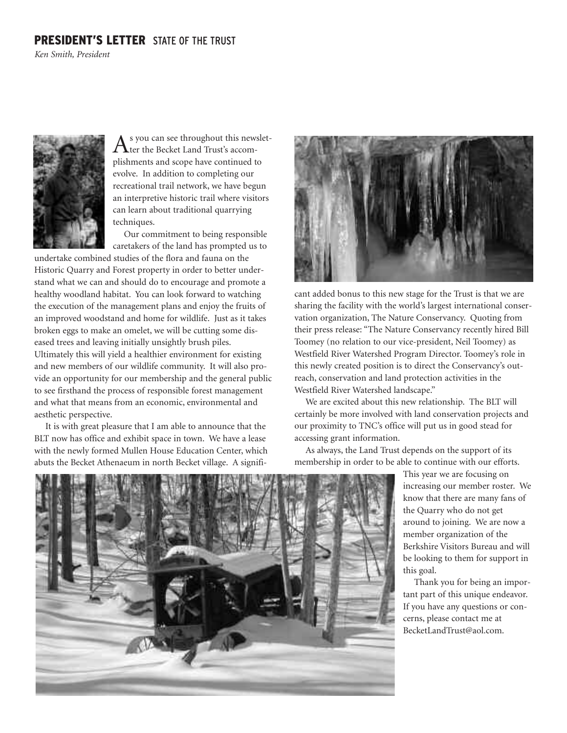### **PRESIDENT'S LETTER** STATE OF THE TRUST

*Ken Smith, President*



As you can see throughout this newslet-<br>ter the Becket Land Trust's accomplishments and scope have continued to evolve. In addition to completing our recreational trail network, we have begun an interpretive historic trail where visitors can learn about traditional quarrying techniques.

Our commitment to being responsible caretakers of the land has prompted us to

undertake combined studies of the flora and fauna on the Historic Quarry and Forest property in order to better understand what we can and should do to encourage and promote a healthy woodland habitat. You can look forward to watching the execution of the management plans and enjoy the fruits of an improved woodstand and home for wildlife. Just as it takes broken eggs to make an omelet, we will be cutting some diseased trees and leaving initially unsightly brush piles. Ultimately this will yield a healthier environment for existing and new members of our wildlife community. It will also provide an opportunity for our membership and the general public to see firsthand the process of responsible forest management and what that means from an economic, environmental and aesthetic perspective.

It is with great pleasure that I am able to announce that the BLT now has office and exhibit space in town. We have a lease with the newly formed Mullen House Education Center, which abuts the Becket Athenaeum in north Becket village. A signifi-



cant added bonus to this new stage for the Trust is that we are sharing the facility with the world's largest international conservation organization, The Nature Conservancy. Quoting from their press release: "The Nature Conservancy recently hired Bill Toomey (no relation to our vice-president, Neil Toomey) as Westfield River Watershed Program Director. Toomey's role in this newly created position is to direct the Conservancy's outreach, conservation and land protection activities in the Westfield River Watershed landscape."

We are excited about this new relationship. The BLT will certainly be more involved with land conservation projects and our proximity to TNC's office will put us in good stead for accessing grant information.

As always, the Land Trust depends on the support of its membership in order to be able to continue with our efforts.

> This year we are focusing on increasing our member roster. We know that there are many fans of the Quarry who do not get around to joining. We are now a member organization of the Berkshire Visitors Bureau and will be looking to them for support in this goal.

Thank you for being an important part of this unique endeavor. If you have any questions or concerns, please contact me at BecketLandTrust@aol.com.